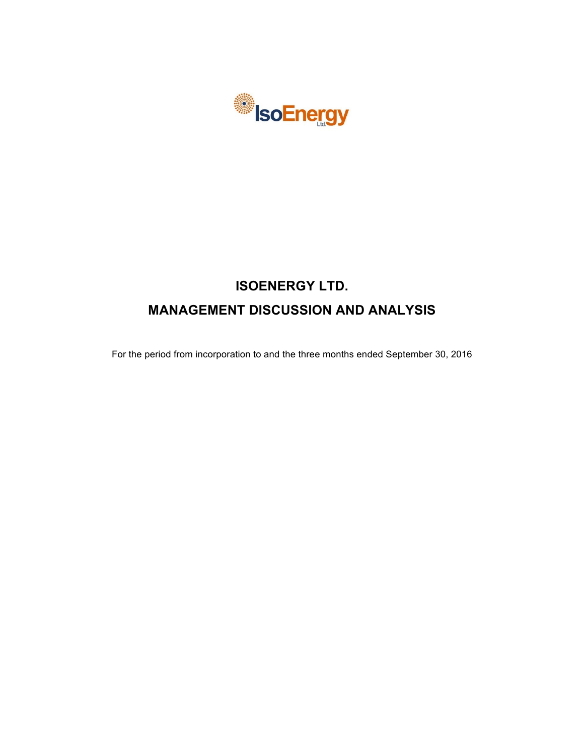

# **ISOENERGY LTD. MANAGEMENT DISCUSSION AND ANALYSIS**

For the period from incorporation to and the three months ended September 30, 2016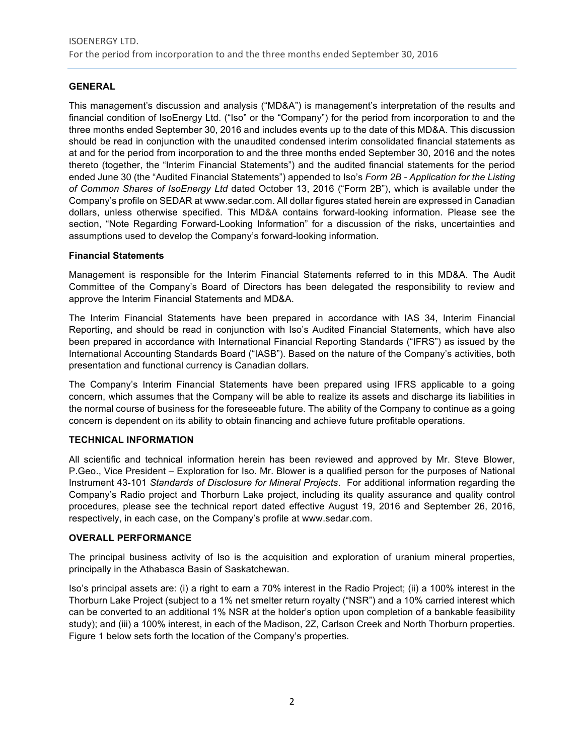# **GENERAL**

This management's discussion and analysis ("MD&A") is management's interpretation of the results and financial condition of IsoEnergy Ltd. ("Iso" or the "Company") for the period from incorporation to and the three months ended September 30, 2016 and includes events up to the date of this MD&A. This discussion should be read in conjunction with the unaudited condensed interim consolidated financial statements as at and for the period from incorporation to and the three months ended September 30, 2016 and the notes thereto (together, the "Interim Financial Statements") and the audited financial statements for the period ended June 30 (the "Audited Financial Statements") appended to Iso's *Form 2B - Application for the Listing of Common Shares of IsoEnergy Ltd* dated October 13, 2016 ("Form 2B"), which is available under the Company's profile on SEDAR at www.sedar.com. All dollar figures stated herein are expressed in Canadian dollars, unless otherwise specified. This MD&A contains forward-looking information. Please see the section, "Note Regarding Forward-Looking Information" for a discussion of the risks, uncertainties and assumptions used to develop the Company's forward-looking information.

# **Financial Statements**

Management is responsible for the Interim Financial Statements referred to in this MD&A. The Audit Committee of the Company's Board of Directors has been delegated the responsibility to review and approve the Interim Financial Statements and MD&A.

The Interim Financial Statements have been prepared in accordance with IAS 34, Interim Financial Reporting, and should be read in conjunction with Iso's Audited Financial Statements, which have also been prepared in accordance with International Financial Reporting Standards ("IFRS") as issued by the International Accounting Standards Board ("IASB"). Based on the nature of the Company's activities, both presentation and functional currency is Canadian dollars.

The Company's Interim Financial Statements have been prepared using IFRS applicable to a going concern, which assumes that the Company will be able to realize its assets and discharge its liabilities in the normal course of business for the foreseeable future. The ability of the Company to continue as a going concern is dependent on its ability to obtain financing and achieve future profitable operations.

# **TECHNICAL INFORMATION**

All scientific and technical information herein has been reviewed and approved by Mr. Steve Blower, P.Geo., Vice President – Exploration for Iso. Mr. Blower is a qualified person for the purposes of National Instrument 43-101 *Standards of Disclosure for Mineral Projects*. For additional information regarding the Company's Radio project and Thorburn Lake project, including its quality assurance and quality control procedures, please see the technical report dated effective August 19, 2016 and September 26, 2016, respectively, in each case, on the Company's profile at www.sedar.com.

## **OVERALL PERFORMANCE**

The principal business activity of Iso is the acquisition and exploration of uranium mineral properties, principally in the Athabasca Basin of Saskatchewan.

Iso's principal assets are: (i) a right to earn a 70% interest in the Radio Project; (ii) a 100% interest in the Thorburn Lake Project (subject to a 1% net smelter return royalty ("NSR") and a 10% carried interest which can be converted to an additional 1% NSR at the holder's option upon completion of a bankable feasibility study); and (iii) a 100% interest, in each of the Madison, 2Z, Carlson Creek and North Thorburn properties. Figure 1 below sets forth the location of the Company's properties.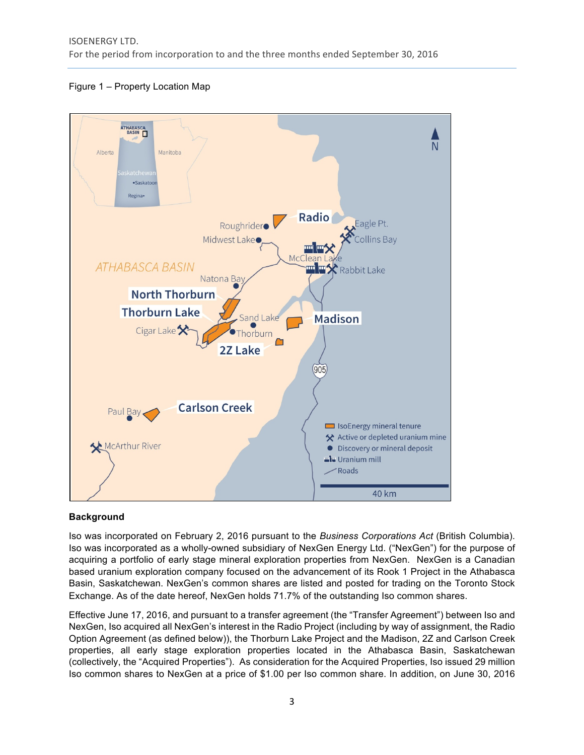



# **Background**

Iso was incorporated on February 2, 2016 pursuant to the *Business Corporations Act* (British Columbia). Iso was incorporated as a wholly-owned subsidiary of NexGen Energy Ltd. ("NexGen") for the purpose of acquiring a portfolio of early stage mineral exploration properties from NexGen. NexGen is a Canadian based uranium exploration company focused on the advancement of its Rook 1 Project in the Athabasca Basin, Saskatchewan. NexGen's common shares are listed and posted for trading on the Toronto Stock Exchange. As of the date hereof, NexGen holds 71.7% of the outstanding Iso common shares.

Effective June 17, 2016, and pursuant to a transfer agreement (the "Transfer Agreement") between Iso and NexGen, Iso acquired all NexGen's interest in the Radio Project (including by way of assignment, the Radio Option Agreement (as defined below)), the Thorburn Lake Project and the Madison, 2Z and Carlson Creek properties, all early stage exploration properties located in the Athabasca Basin, Saskatchewan (collectively, the "Acquired Properties"). As consideration for the Acquired Properties, Iso issued 29 million Iso common shares to NexGen at a price of \$1.00 per Iso common share. In addition, on June 30, 2016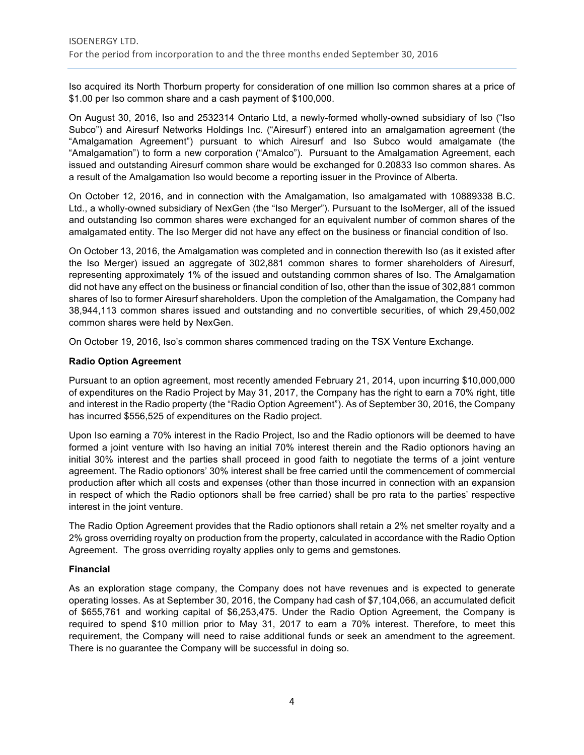Iso acquired its North Thorburn property for consideration of one million Iso common shares at a price of \$1.00 per Iso common share and a cash payment of \$100,000.

On August 30, 2016, Iso and 2532314 Ontario Ltd, a newly-formed wholly-owned subsidiary of Iso ("Iso Subco") and Airesurf Networks Holdings Inc. ("Airesurf') entered into an amalgamation agreement (the "Amalgamation Agreement") pursuant to which Airesurf and Iso Subco would amalgamate (the "Amalgamation") to form a new corporation ("Amalco"). Pursuant to the Amalgamation Agreement, each issued and outstanding Airesurf common share would be exchanged for 0.20833 Iso common shares. As a result of the Amalgamation Iso would become a reporting issuer in the Province of Alberta.

On October 12, 2016, and in connection with the Amalgamation, Iso amalgamated with 10889338 B.C. Ltd., a wholly-owned subsidiary of NexGen (the "Iso Merger"). Pursuant to the IsoMerger, all of the issued and outstanding Iso common shares were exchanged for an equivalent number of common shares of the amalgamated entity. The Iso Merger did not have any effect on the business or financial condition of Iso.

On October 13, 2016, the Amalgamation was completed and in connection therewith Iso (as it existed after the Iso Merger) issued an aggregate of 302,881 common shares to former shareholders of Airesurf, representing approximately 1% of the issued and outstanding common shares of Iso. The Amalgamation did not have any effect on the business or financial condition of Iso, other than the issue of 302,881 common shares of Iso to former Airesurf shareholders. Upon the completion of the Amalgamation, the Company had 38,944,113 common shares issued and outstanding and no convertible securities, of which 29,450,002 common shares were held by NexGen.

On October 19, 2016, Iso's common shares commenced trading on the TSX Venture Exchange.

# **Radio Option Agreement**

Pursuant to an option agreement, most recently amended February 21, 2014, upon incurring \$10,000,000 of expenditures on the Radio Project by May 31, 2017, the Company has the right to earn a 70% right, title and interest in the Radio property (the "Radio Option Agreement"). As of September 30, 2016, the Company has incurred \$556,525 of expenditures on the Radio project.

Upon Iso earning a 70% interest in the Radio Project, Iso and the Radio optionors will be deemed to have formed a joint venture with Iso having an initial 70% interest therein and the Radio optionors having an initial 30% interest and the parties shall proceed in good faith to negotiate the terms of a joint venture agreement. The Radio optionors' 30% interest shall be free carried until the commencement of commercial production after which all costs and expenses (other than those incurred in connection with an expansion in respect of which the Radio optionors shall be free carried) shall be pro rata to the parties' respective interest in the joint venture.

The Radio Option Agreement provides that the Radio optionors shall retain a 2% net smelter royalty and a 2% gross overriding royalty on production from the property, calculated in accordance with the Radio Option Agreement. The gross overriding royalty applies only to gems and gemstones.

# **Financial**

As an exploration stage company, the Company does not have revenues and is expected to generate operating losses. As at September 30, 2016, the Company had cash of \$7,104,066, an accumulated deficit of \$655,761 and working capital of \$6,253,475. Under the Radio Option Agreement, the Company is required to spend \$10 million prior to May 31, 2017 to earn a 70% interest. Therefore, to meet this requirement, the Company will need to raise additional funds or seek an amendment to the agreement. There is no guarantee the Company will be successful in doing so.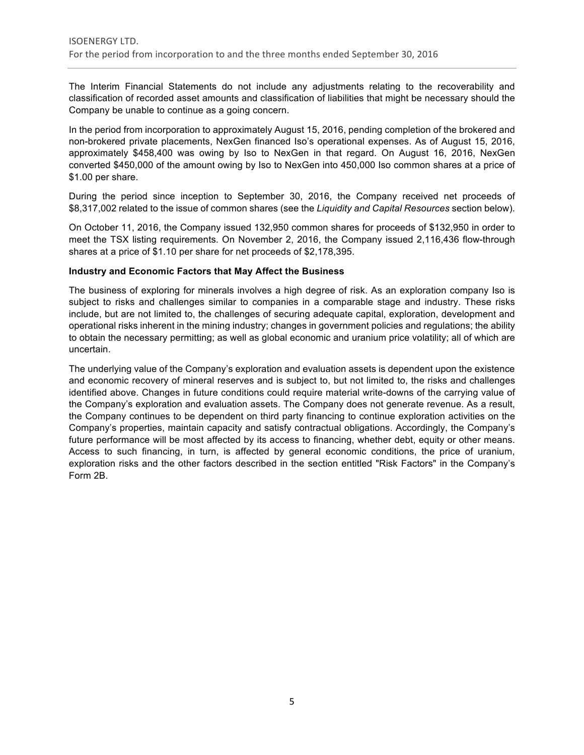The Interim Financial Statements do not include any adjustments relating to the recoverability and classification of recorded asset amounts and classification of liabilities that might be necessary should the Company be unable to continue as a going concern.

In the period from incorporation to approximately August 15, 2016, pending completion of the brokered and non-brokered private placements, NexGen financed Iso's operational expenses. As of August 15, 2016, approximately \$458,400 was owing by Iso to NexGen in that regard. On August 16, 2016, NexGen converted \$450,000 of the amount owing by Iso to NexGen into 450,000 Iso common shares at a price of \$1.00 per share.

During the period since inception to September 30, 2016, the Company received net proceeds of \$8,317,002 related to the issue of common shares (see the *Liquidity and Capital Resources* section below).

On October 11, 2016, the Company issued 132,950 common shares for proceeds of \$132,950 in order to meet the TSX listing requirements. On November 2, 2016, the Company issued 2,116,436 flow-through shares at a price of \$1.10 per share for net proceeds of \$2,178,395.

#### **Industry and Economic Factors that May Affect the Business**

The business of exploring for minerals involves a high degree of risk. As an exploration company Iso is subject to risks and challenges similar to companies in a comparable stage and industry. These risks include, but are not limited to, the challenges of securing adequate capital, exploration, development and operational risks inherent in the mining industry; changes in government policies and regulations; the ability to obtain the necessary permitting; as well as global economic and uranium price volatility; all of which are uncertain.

The underlying value of the Company's exploration and evaluation assets is dependent upon the existence and economic recovery of mineral reserves and is subject to, but not limited to, the risks and challenges identified above. Changes in future conditions could require material write-downs of the carrying value of the Company's exploration and evaluation assets. The Company does not generate revenue. As a result, the Company continues to be dependent on third party financing to continue exploration activities on the Company's properties, maintain capacity and satisfy contractual obligations. Accordingly, the Company's future performance will be most affected by its access to financing, whether debt, equity or other means. Access to such financing, in turn, is affected by general economic conditions, the price of uranium, exploration risks and the other factors described in the section entitled "Risk Factors" in the Company's Form 2B.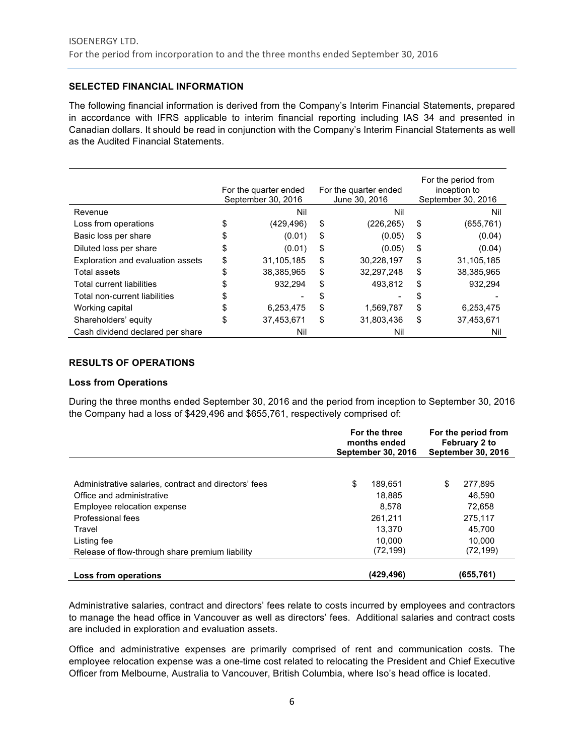# **SELECTED FINANCIAL INFORMATION**

The following financial information is derived from the Company's Interim Financial Statements, prepared in accordance with IFRS applicable to interim financial reporting including IAS 34 and presented in Canadian dollars. It should be read in conjunction with the Company's Interim Financial Statements as well as the Audited Financial Statements.

|                                   | For the quarter ended<br>September 30, 2016 |            | For the quarter ended<br>June 30, 2016 |            | For the period from<br>inception to<br>September 30, 2016 |            |
|-----------------------------------|---------------------------------------------|------------|----------------------------------------|------------|-----------------------------------------------------------|------------|
| Revenue                           |                                             | Nil        | Nil                                    |            | Nil                                                       |            |
| Loss from operations              | \$                                          | (429, 496) | \$                                     | (226, 265) | \$                                                        | (655, 761) |
| Basic loss per share              | S                                           | (0.01)     | \$                                     | (0.05)     | \$                                                        | (0.04)     |
| Diluted loss per share            | \$                                          | (0.01)     | \$                                     | (0.05)     | \$                                                        | (0.04)     |
| Exploration and evaluation assets | \$                                          | 31,105,185 | \$                                     | 30,228,197 | \$                                                        | 31.105.185 |
| Total assets                      | \$                                          | 38,385,965 | \$                                     | 32,297,248 | \$                                                        | 38,385,965 |
| <b>Total current liabilities</b>  | \$                                          | 932.294    | \$                                     | 493,812    | \$                                                        | 932.294    |
| Total non-current liabilities     | \$                                          |            | S                                      |            | S                                                         |            |
| Working capital                   |                                             | 6,253,475  | \$                                     | 1,569,787  | \$                                                        | 6,253,475  |
| Shareholders' equity              | \$                                          | 37,453,671 | \$                                     | 31.803.436 | \$                                                        | 37,453,671 |
| Cash dividend declared per share  |                                             | Nil        |                                        | Nil        |                                                           | Nil        |

# **RESULTS OF OPERATIONS**

## **Loss from Operations**

During the three months ended September 30, 2016 and the period from inception to September 30, 2016 the Company had a loss of \$429,496 and \$655,761, respectively comprised of:

|                                                       | For the three<br>months ended<br><b>September 30, 2016</b> | For the period from<br>February 2 to<br><b>September 30, 2016</b> |  |
|-------------------------------------------------------|------------------------------------------------------------|-------------------------------------------------------------------|--|
| Administrative salaries, contract and directors' fees | \$<br>189.651                                              | \$.<br>277,895                                                    |  |
| Office and administrative                             | 18.885                                                     | 46.590                                                            |  |
| Employee relocation expense                           | 8.578                                                      | 72.658                                                            |  |
| Professional fees                                     | 261.211                                                    | 275.117                                                           |  |
| Travel                                                | 13.370                                                     | 45.700                                                            |  |
| Listing fee                                           | 10.000                                                     | 10.000                                                            |  |
| Release of flow-through share premium liability       | (72, 199)                                                  | (72, 199)                                                         |  |
| Loss from operations                                  | (429,496)                                                  | (655, 761)                                                        |  |

Administrative salaries, contract and directors' fees relate to costs incurred by employees and contractors to manage the head office in Vancouver as well as directors' fees. Additional salaries and contract costs are included in exploration and evaluation assets.

Office and administrative expenses are primarily comprised of rent and communication costs. The employee relocation expense was a one-time cost related to relocating the President and Chief Executive Officer from Melbourne, Australia to Vancouver, British Columbia, where Iso's head office is located.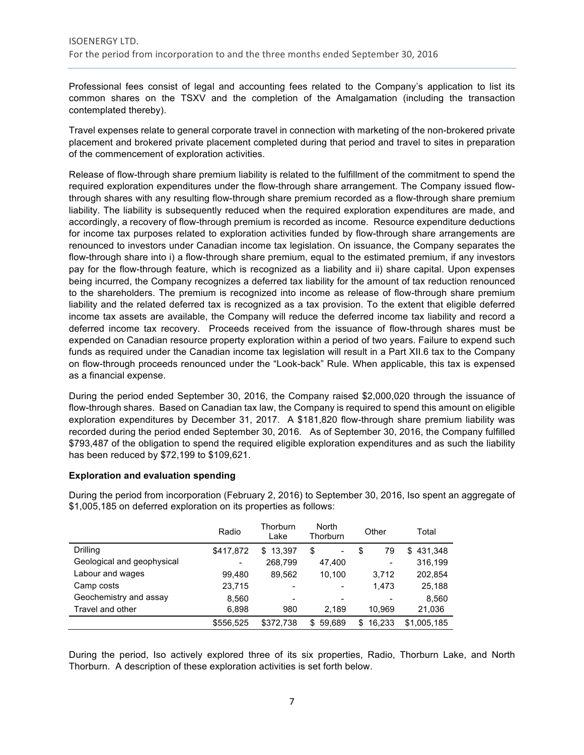Professional fees consist of legal and accounting fees related to the Company's application to list its common shares on the TSXV and the completion of the Amalgamation (including the transaction contemplated thereby).

Travel expenses relate to general corporate travel in connection with marketing of the non-brokered private placement and brokered private placement completed during that period and travel to sites in preparation of the commencement of exploration activities.

Release of flow-through share premium liability is related to the fulfillment of the commitment to spend the required exploration expenditures under the flow-through share arrangement. The Company issued flowthrough shares with any resulting flow-through share premium recorded as a flow-through share premium liability. The liability is subsequently reduced when the required exploration expenditures are made, and accordingly, a recovery of flow-through premium is recorded as income. Resource expenditure deductions for income tax purposes related to exploration activities funded by flow-through share arrangements are renounced to investors under Canadian income tax legislation. On issuance, the Company separates the flow-through share into i) a flow-through share premium, equal to the estimated premium, if any investors pay for the flow-through feature, which is recognized as a liability and ii) share capital. Upon expenses being incurred, the Company recognizes a deferred tax liability for the amount of tax reduction renounced to the shareholders. The premium is recognized into income as release of flow-through share premium liability and the related deferred tax is recognized as a tax provision. To the extent that eligible deferred income tax assets are available, the Company will reduce the deferred income tax liability and record a deferred income tax recovery. Proceeds received from the issuance of flow-through shares must be expended on Canadian resource property exploration within a period of two years. Failure to expend such funds as required under the Canadian income tax legislation will result in a Part XII.6 tax to the Company on flow-through proceeds renounced under the "Look-back" Rule. When applicable, this tax is expensed as a financial expense.

During the period ended September 30, 2016, the Company raised \$2,000,020 through the issuance of flow-through shares. Based on Canadian tax law, the Company is required to spend this amount on eligible exploration expenditures by December 31, 2017. A \$181,820 flow-through share premium liability was recorded during the period ended September 30, 2016. As of September 30, 2016, the Company fulfilled \$793,487 of the obligation to spend the required eligible exploration expenditures and as such the liability has been reduced by \$72,199 to \$109,621.

## **Exploration and evaluation spending**

|                            | Radio                    | Thorburn<br>Lake         | North<br>Thorburn | Other        | Total         |
|----------------------------|--------------------------|--------------------------|-------------------|--------------|---------------|
| Drilling                   | \$417,872                | 13.397<br>\$             | \$<br>-           | \$<br>79     | 431,348<br>\$ |
| Geological and geophysical | $\overline{\phantom{0}}$ | 268,799                  | 47,400            | -            | 316,199       |
| Labour and wages           | 99.480                   | 89.562                   | 10.100            | 3.712        | 202,854       |
| Camp costs                 | 23,715                   | $\overline{\phantom{0}}$ |                   | 1.473        | 25,188        |
| Geochemistry and assay     | 8.560                    | $\overline{\phantom{0}}$ |                   |              | 8.560         |
| Travel and other           | 6,898                    | 980                      | 2,189             | 10.969       | 21,036        |
|                            | \$556,525                | \$372.738                | 59.689<br>\$.     | 16.233<br>S. | \$1,005,185   |

During the period from incorporation (February 2, 2016) to September 30, 2016, Iso spent an aggregate of \$1,005,185 on deferred exploration on its properties as follows:

During the period, Iso actively explored three of its six properties, Radio, Thorburn Lake, and North Thorburn. A description of these exploration activities is set forth below.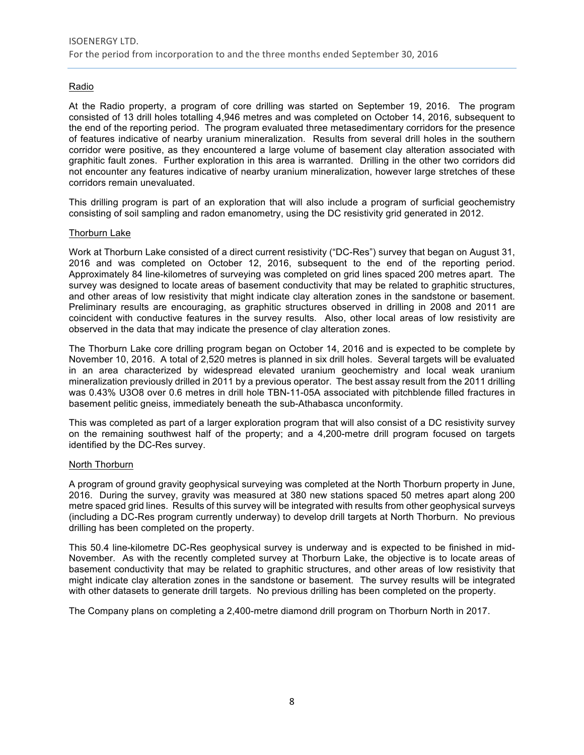# Radio

At the Radio property, a program of core drilling was started on September 19, 2016. The program consisted of 13 drill holes totalling 4,946 metres and was completed on October 14, 2016, subsequent to the end of the reporting period. The program evaluated three metasedimentary corridors for the presence of features indicative of nearby uranium mineralization. Results from several drill holes in the southern corridor were positive, as they encountered a large volume of basement clay alteration associated with graphitic fault zones. Further exploration in this area is warranted. Drilling in the other two corridors did not encounter any features indicative of nearby uranium mineralization, however large stretches of these corridors remain unevaluated.

This drilling program is part of an exploration that will also include a program of surficial geochemistry consisting of soil sampling and radon emanometry, using the DC resistivity grid generated in 2012.

#### Thorburn Lake

Work at Thorburn Lake consisted of a direct current resistivity ("DC-Res") survey that began on August 31, 2016 and was completed on October 12, 2016, subsequent to the end of the reporting period. Approximately 84 line-kilometres of surveying was completed on grid lines spaced 200 metres apart. The survey was designed to locate areas of basement conductivity that may be related to graphitic structures, and other areas of low resistivity that might indicate clay alteration zones in the sandstone or basement. Preliminary results are encouraging, as graphitic structures observed in drilling in 2008 and 2011 are coincident with conductive features in the survey results. Also, other local areas of low resistivity are observed in the data that may indicate the presence of clay alteration zones.

The Thorburn Lake core drilling program began on October 14, 2016 and is expected to be complete by November 10, 2016. A total of 2,520 metres is planned in six drill holes. Several targets will be evaluated in an area characterized by widespread elevated uranium geochemistry and local weak uranium mineralization previously drilled in 2011 by a previous operator. The best assay result from the 2011 drilling was 0.43% U3O8 over 0.6 metres in drill hole TBN-11-05A associated with pitchblende filled fractures in basement pelitic gneiss, immediately beneath the sub-Athabasca unconformity.

This was completed as part of a larger exploration program that will also consist of a DC resistivity survey on the remaining southwest half of the property; and a 4,200-metre drill program focused on targets identified by the DC-Res survey.

#### North Thorburn

A program of ground gravity geophysical surveying was completed at the North Thorburn property in June, 2016. During the survey, gravity was measured at 380 new stations spaced 50 metres apart along 200 metre spaced grid lines. Results of this survey will be integrated with results from other geophysical surveys (including a DC-Res program currently underway) to develop drill targets at North Thorburn. No previous drilling has been completed on the property.

This 50.4 line-kilometre DC-Res geophysical survey is underway and is expected to be finished in mid-November. As with the recently completed survey at Thorburn Lake, the objective is to locate areas of basement conductivity that may be related to graphitic structures, and other areas of low resistivity that might indicate clay alteration zones in the sandstone or basement. The survey results will be integrated with other datasets to generate drill targets. No previous drilling has been completed on the property.

The Company plans on completing a 2,400-metre diamond drill program on Thorburn North in 2017.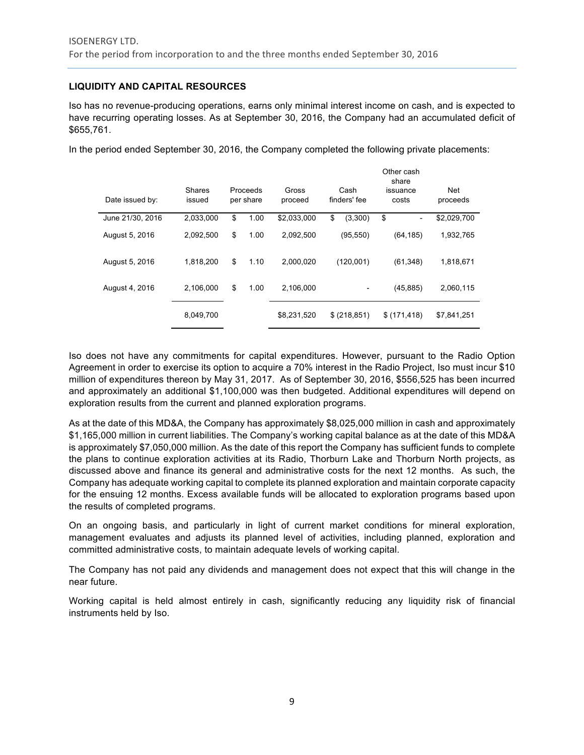# **LIQUIDITY AND CAPITAL RESOURCES**

Iso has no revenue-producing operations, earns only minimal interest income on cash, and is expected to have recurring operating losses. As at September 30, 2016, the Company had an accumulated deficit of \$655,761.

In the period ended September 30, 2016, the Company completed the following private placements:

| Date issued by:  | <b>Shares</b><br>issued | Proceeds<br>per share | Gross<br>proceed | Cash<br>finders' fee | Other cash<br>share<br>issuance<br>costs | Net<br>proceeds |
|------------------|-------------------------|-----------------------|------------------|----------------------|------------------------------------------|-----------------|
| June 21/30, 2016 | 2,033,000               | \$<br>1.00            | \$2,033,000      | \$<br>(3,300)        | \$<br>۰                                  | \$2,029,700     |
| August 5, 2016   | 2,092,500               | \$<br>1.00            | 2,092,500        | (95, 550)            | (64, 185)                                | 1,932,765       |
| August 5, 2016   | 1,818,200               | \$<br>1.10            | 2,000,020        | (120,001)            | (61, 348)                                | 1,818,671       |
| August 4, 2016   | 2,106,000               | \$<br>1.00            | 2,106,000        |                      | (45, 885)                                | 2,060,115       |
|                  | 8,049,700               |                       | \$8,231,520      | \$ (218, 851)        | \$(171, 418)                             | \$7,841,251     |

Iso does not have any commitments for capital expenditures. However, pursuant to the Radio Option Agreement in order to exercise its option to acquire a 70% interest in the Radio Project, Iso must incur \$10 million of expenditures thereon by May 31, 2017. As of September 30, 2016, \$556,525 has been incurred and approximately an additional \$1,100,000 was then budgeted. Additional expenditures will depend on exploration results from the current and planned exploration programs.

As at the date of this MD&A, the Company has approximately \$8,025,000 million in cash and approximately \$1,165,000 million in current liabilities. The Company's working capital balance as at the date of this MD&A is approximately \$7,050,000 million. As the date of this report the Company has sufficient funds to complete the plans to continue exploration activities at its Radio, Thorburn Lake and Thorburn North projects, as discussed above and finance its general and administrative costs for the next 12 months. As such, the Company has adequate working capital to complete its planned exploration and maintain corporate capacity for the ensuing 12 months. Excess available funds will be allocated to exploration programs based upon the results of completed programs.

On an ongoing basis, and particularly in light of current market conditions for mineral exploration, management evaluates and adjusts its planned level of activities, including planned, exploration and committed administrative costs, to maintain adequate levels of working capital.

The Company has not paid any dividends and management does not expect that this will change in the near future.

Working capital is held almost entirely in cash, significantly reducing any liquidity risk of financial instruments held by Iso.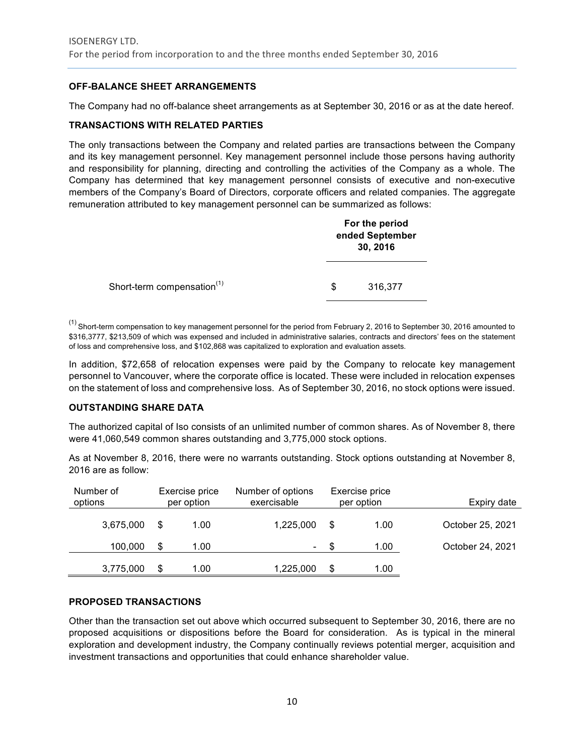# **OFF-BALANCE SHEET ARRANGEMENTS**

The Company had no off-balance sheet arrangements as at September 30, 2016 or as at the date hereof.

# **TRANSACTIONS WITH RELATED PARTIES**

The only transactions between the Company and related parties are transactions between the Company and its key management personnel. Key management personnel include those persons having authority and responsibility for planning, directing and controlling the activities of the Company as a whole. The Company has determined that key management personnel consists of executive and non-executive members of the Company's Board of Directors, corporate officers and related companies. The aggregate remuneration attributed to key management personnel can be summarized as follows:

|                                        | For the period<br>ended September<br>30, 2016 |         |  |  |
|----------------------------------------|-----------------------------------------------|---------|--|--|
| Short-term compensation <sup>(1)</sup> | S                                             | 316,377 |  |  |

(1) Short-term compensation to key management personnel for the period from February 2, 2016 to September 30, 2016 amounted to \$316,3777, \$213,509 of which was expensed and included in administrative salaries, contracts and directors' fees on the statement of loss and comprehensive loss, and \$102,868 was capitalized to exploration and evaluation assets.

In addition, \$72,658 of relocation expenses were paid by the Company to relocate key management personnel to Vancouver, where the corporate office is located. These were included in relocation expenses on the statement of loss and comprehensive loss. As of September 30, 2016, no stock options were issued.

## **OUTSTANDING SHARE DATA**

The authorized capital of Iso consists of an unlimited number of common shares. As of November 8, there were 41,060,549 common shares outstanding and 3,775,000 stock options.

As at November 8, 2016, there were no warrants outstanding. Stock options outstanding at November 8, 2016 are as follow:

| Number of<br>options |   | Exercise price<br>per option | Number of options<br>exercisable |      | Exercise price<br>per option | Expiry date      |
|----------------------|---|------------------------------|----------------------------------|------|------------------------------|------------------|
| 3,675,000            | S | 1.00                         | 1,225,000                        | \$   | 1.00                         | October 25, 2021 |
| 100,000              |   | 1.00                         | $\sim$ $-$                       | - \$ | 1.00                         | October 24, 2021 |
| 3,775,000            | S | 1.00                         | 1,225,000                        | S    | 1.00                         |                  |

## **PROPOSED TRANSACTIONS**

Other than the transaction set out above which occurred subsequent to September 30, 2016, there are no proposed acquisitions or dispositions before the Board for consideration. As is typical in the mineral exploration and development industry, the Company continually reviews potential merger, acquisition and investment transactions and opportunities that could enhance shareholder value.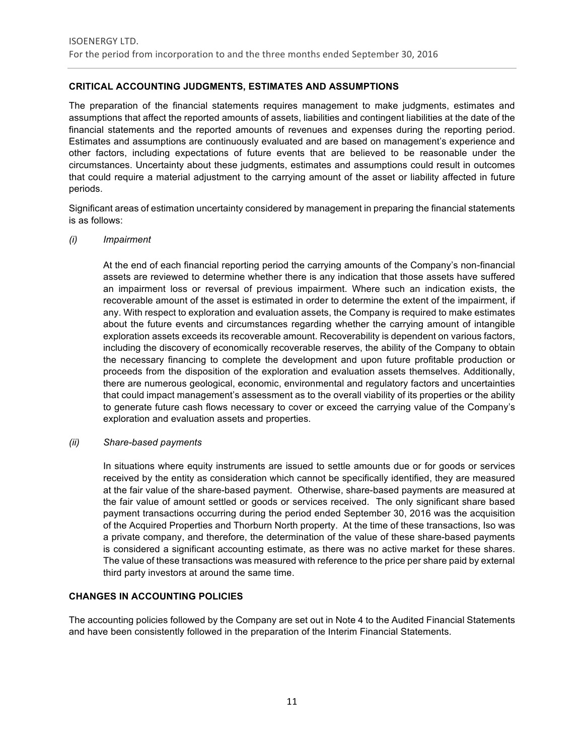# **CRITICAL ACCOUNTING JUDGMENTS, ESTIMATES AND ASSUMPTIONS**

The preparation of the financial statements requires management to make judgments, estimates and assumptions that affect the reported amounts of assets, liabilities and contingent liabilities at the date of the financial statements and the reported amounts of revenues and expenses during the reporting period. Estimates and assumptions are continuously evaluated and are based on management's experience and other factors, including expectations of future events that are believed to be reasonable under the circumstances. Uncertainty about these judgments, estimates and assumptions could result in outcomes that could require a material adjustment to the carrying amount of the asset or liability affected in future periods.

Significant areas of estimation uncertainty considered by management in preparing the financial statements is as follows:

#### *(i) Impairment*

At the end of each financial reporting period the carrying amounts of the Company's non-financial assets are reviewed to determine whether there is any indication that those assets have suffered an impairment loss or reversal of previous impairment. Where such an indication exists, the recoverable amount of the asset is estimated in order to determine the extent of the impairment, if any. With respect to exploration and evaluation assets, the Company is required to make estimates about the future events and circumstances regarding whether the carrying amount of intangible exploration assets exceeds its recoverable amount. Recoverability is dependent on various factors, including the discovery of economically recoverable reserves, the ability of the Company to obtain the necessary financing to complete the development and upon future profitable production or proceeds from the disposition of the exploration and evaluation assets themselves. Additionally, there are numerous geological, economic, environmental and regulatory factors and uncertainties that could impact management's assessment as to the overall viability of its properties or the ability to generate future cash flows necessary to cover or exceed the carrying value of the Company's exploration and evaluation assets and properties.

## *(ii) Share-based payments*

In situations where equity instruments are issued to settle amounts due or for goods or services received by the entity as consideration which cannot be specifically identified, they are measured at the fair value of the share-based payment. Otherwise, share-based payments are measured at the fair value of amount settled or goods or services received. The only significant share based payment transactions occurring during the period ended September 30, 2016 was the acquisition of the Acquired Properties and Thorburn North property. At the time of these transactions, Iso was a private company, and therefore, the determination of the value of these share-based payments is considered a significant accounting estimate, as there was no active market for these shares. The value of these transactions was measured with reference to the price per share paid by external third party investors at around the same time.

## **CHANGES IN ACCOUNTING POLICIES**

The accounting policies followed by the Company are set out in Note 4 to the Audited Financial Statements and have been consistently followed in the preparation of the Interim Financial Statements.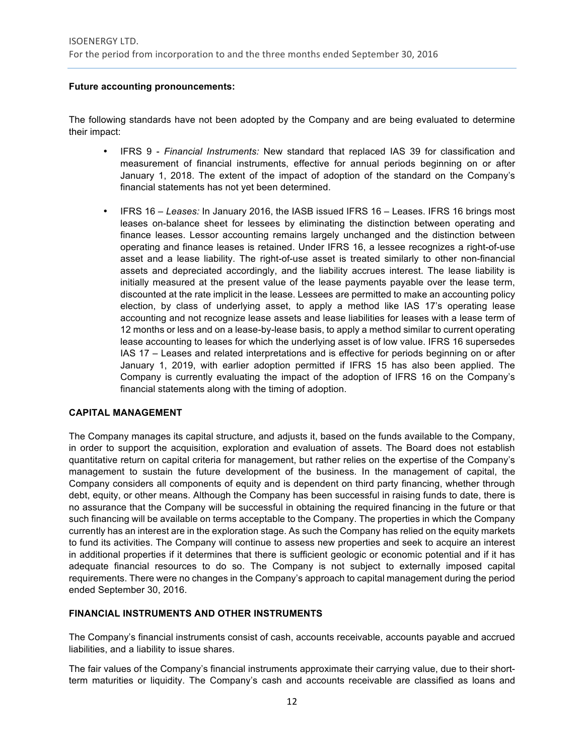# **Future accounting pronouncements:**

The following standards have not been adopted by the Company and are being evaluated to determine their impact:

- IFRS 9 *Financial Instruments:* New standard that replaced IAS 39 for classification and measurement of financial instruments, effective for annual periods beginning on or after January 1, 2018. The extent of the impact of adoption of the standard on the Company's financial statements has not yet been determined.
- IFRS 16 *Leases:* In January 2016, the IASB issued IFRS 16 Leases. IFRS 16 brings most leases on-balance sheet for lessees by eliminating the distinction between operating and finance leases. Lessor accounting remains largely unchanged and the distinction between operating and finance leases is retained. Under IFRS 16, a lessee recognizes a right-of-use asset and a lease liability. The right-of-use asset is treated similarly to other non-financial assets and depreciated accordingly, and the liability accrues interest. The lease liability is initially measured at the present value of the lease payments payable over the lease term, discounted at the rate implicit in the lease. Lessees are permitted to make an accounting policy election, by class of underlying asset, to apply a method like IAS 17's operating lease accounting and not recognize lease assets and lease liabilities for leases with a lease term of 12 months or less and on a lease-by-lease basis, to apply a method similar to current operating lease accounting to leases for which the underlying asset is of low value. IFRS 16 supersedes IAS 17 – Leases and related interpretations and is effective for periods beginning on or after January 1, 2019, with earlier adoption permitted if IFRS 15 has also been applied. The Company is currently evaluating the impact of the adoption of IFRS 16 on the Company's financial statements along with the timing of adoption.

# **CAPITAL MANAGEMENT**

The Company manages its capital structure, and adjusts it, based on the funds available to the Company, in order to support the acquisition, exploration and evaluation of assets. The Board does not establish quantitative return on capital criteria for management, but rather relies on the expertise of the Company's management to sustain the future development of the business. In the management of capital, the Company considers all components of equity and is dependent on third party financing, whether through debt, equity, or other means. Although the Company has been successful in raising funds to date, there is no assurance that the Company will be successful in obtaining the required financing in the future or that such financing will be available on terms acceptable to the Company. The properties in which the Company currently has an interest are in the exploration stage. As such the Company has relied on the equity markets to fund its activities. The Company will continue to assess new properties and seek to acquire an interest in additional properties if it determines that there is sufficient geologic or economic potential and if it has adequate financial resources to do so. The Company is not subject to externally imposed capital requirements. There were no changes in the Company's approach to capital management during the period ended September 30, 2016.

# **FINANCIAL INSTRUMENTS AND OTHER INSTRUMENTS**

The Company's financial instruments consist of cash, accounts receivable, accounts payable and accrued liabilities, and a liability to issue shares.

The fair values of the Company's financial instruments approximate their carrying value, due to their shortterm maturities or liquidity. The Company's cash and accounts receivable are classified as loans and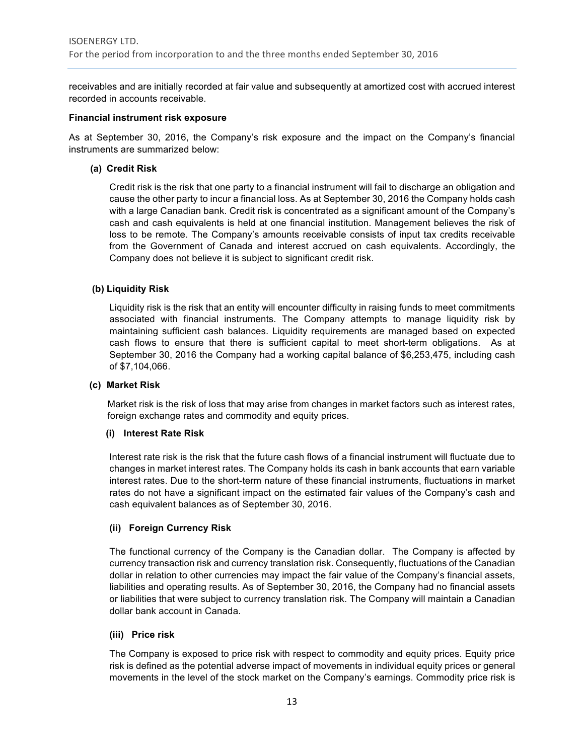receivables and are initially recorded at fair value and subsequently at amortized cost with accrued interest recorded in accounts receivable.

#### **Financial instrument risk exposure**

As at September 30, 2016, the Company's risk exposure and the impact on the Company's financial instruments are summarized below:

## **(a) Credit Risk**

Credit risk is the risk that one party to a financial instrument will fail to discharge an obligation and cause the other party to incur a financial loss. As at September 30, 2016 the Company holds cash with a large Canadian bank. Credit risk is concentrated as a significant amount of the Company's cash and cash equivalents is held at one financial institution. Management believes the risk of loss to be remote. The Company's amounts receivable consists of input tax credits receivable from the Government of Canada and interest accrued on cash equivalents. Accordingly, the Company does not believe it is subject to significant credit risk.

#### **(b) Liquidity Risk**

Liquidity risk is the risk that an entity will encounter difficulty in raising funds to meet commitments associated with financial instruments. The Company attempts to manage liquidity risk by maintaining sufficient cash balances. Liquidity requirements are managed based on expected cash flows to ensure that there is sufficient capital to meet short-term obligations. As at September 30, 2016 the Company had a working capital balance of \$6,253,475, including cash of \$7,104,066.

#### **(c) Market Risk**

Market risk is the risk of loss that may arise from changes in market factors such as interest rates, foreign exchange rates and commodity and equity prices.

#### **(i) Interest Rate Risk**

Interest rate risk is the risk that the future cash flows of a financial instrument will fluctuate due to changes in market interest rates. The Company holds its cash in bank accounts that earn variable interest rates. Due to the short-term nature of these financial instruments, fluctuations in market rates do not have a significant impact on the estimated fair values of the Company's cash and cash equivalent balances as of September 30, 2016.

## **(ii) Foreign Currency Risk**

The functional currency of the Company is the Canadian dollar. The Company is affected by currency transaction risk and currency translation risk. Consequently, fluctuations of the Canadian dollar in relation to other currencies may impact the fair value of the Company's financial assets, liabilities and operating results. As of September 30, 2016, the Company had no financial assets or liabilities that were subject to currency translation risk. The Company will maintain a Canadian dollar bank account in Canada.

## **(iii) Price risk**

The Company is exposed to price risk with respect to commodity and equity prices. Equity price risk is defined as the potential adverse impact of movements in individual equity prices or general movements in the level of the stock market on the Company's earnings. Commodity price risk is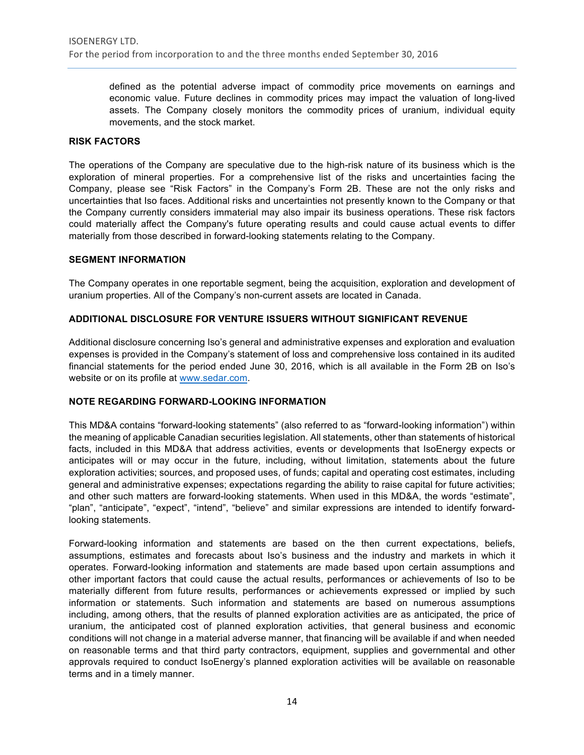defined as the potential adverse impact of commodity price movements on earnings and economic value. Future declines in commodity prices may impact the valuation of long-lived assets. The Company closely monitors the commodity prices of uranium, individual equity movements, and the stock market.

#### **RISK FACTORS**

The operations of the Company are speculative due to the high-risk nature of its business which is the exploration of mineral properties. For a comprehensive list of the risks and uncertainties facing the Company, please see "Risk Factors" in the Company's Form 2B. These are not the only risks and uncertainties that Iso faces. Additional risks and uncertainties not presently known to the Company or that the Company currently considers immaterial may also impair its business operations. These risk factors could materially affect the Company's future operating results and could cause actual events to differ materially from those described in forward-looking statements relating to the Company.

#### **SEGMENT INFORMATION**

The Company operates in one reportable segment, being the acquisition, exploration and development of uranium properties. All of the Company's non-current assets are located in Canada.

# **ADDITIONAL DISCLOSURE FOR VENTURE ISSUERS WITHOUT SIGNIFICANT REVENUE**

Additional disclosure concerning Iso's general and administrative expenses and exploration and evaluation expenses is provided in the Company's statement of loss and comprehensive loss contained in its audited financial statements for the period ended June 30, 2016, which is all available in the Form 2B on Iso's website or on its profile at www.sedar.com.

## **NOTE REGARDING FORWARD-LOOKING INFORMATION**

This MD&A contains "forward-looking statements" (also referred to as "forward-looking information") within the meaning of applicable Canadian securities legislation. All statements, other than statements of historical facts, included in this MD&A that address activities, events or developments that IsoEnergy expects or anticipates will or may occur in the future, including, without limitation, statements about the future exploration activities; sources, and proposed uses, of funds; capital and operating cost estimates, including general and administrative expenses; expectations regarding the ability to raise capital for future activities; and other such matters are forward-looking statements. When used in this MD&A, the words "estimate", "plan", "anticipate", "expect", "intend", "believe" and similar expressions are intended to identify forwardlooking statements.

Forward-looking information and statements are based on the then current expectations, beliefs, assumptions, estimates and forecasts about Iso's business and the industry and markets in which it operates. Forward-looking information and statements are made based upon certain assumptions and other important factors that could cause the actual results, performances or achievements of Iso to be materially different from future results, performances or achievements expressed or implied by such information or statements. Such information and statements are based on numerous assumptions including, among others, that the results of planned exploration activities are as anticipated, the price of uranium, the anticipated cost of planned exploration activities, that general business and economic conditions will not change in a material adverse manner, that financing will be available if and when needed on reasonable terms and that third party contractors, equipment, supplies and governmental and other approvals required to conduct IsoEnergy's planned exploration activities will be available on reasonable terms and in a timely manner.